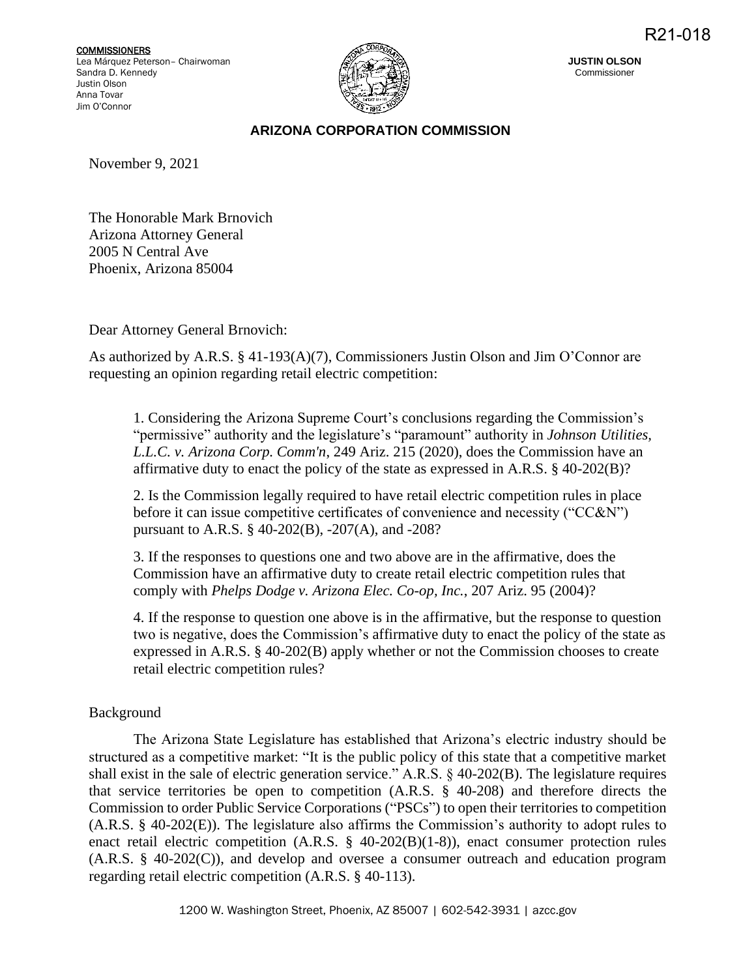**COMMISSIONERS** Lea Márquez Peterson– Chairwoman Sandra D. Kennedy Justin Olson Anna Tovar Jim O'Connor



**JUSTIN OLSON** Commissioner

## **ARIZONA CORPORATION COMMISSION**

November 9, 2021

The Honorable Mark Brnovich Arizona Attorney General 2005 N Central Ave Phoenix, Arizona 85004

Dear Attorney General Brnovich:

As authorized by A.R.S. § 41-193(A)(7), Commissioners Justin Olson and Jim O'Connor are requesting an opinion regarding retail electric competition:

1. Considering the Arizona Supreme Court's conclusions regarding the Commission's "permissive" authority and the legislature's "paramount" authority in *Johnson Utilities, L.L.C. v. Arizona Corp. Comm'n*, 249 Ariz. 215 (2020), does the Commission have an affirmative duty to enact the policy of the state as expressed in A.R.S. § 40-202(B)?

2. Is the Commission legally required to have retail electric competition rules in place before it can issue competitive certificates of convenience and necessity ("CC&N") pursuant to A.R.S. § 40-202(B), -207(A), and -208?

3. If the responses to questions one and two above are in the affirmative, does the Commission have an affirmative duty to create retail electric competition rules that comply with *Phelps Dodge v. Arizona Elec. Co-op, Inc.*, 207 Ariz. 95 (2004)?

4. If the response to question one above is in the affirmative, but the response to question two is negative, does the Commission's affirmative duty to enact the policy of the state as expressed in A.R.S. § 40-202(B) apply whether or not the Commission chooses to create retail electric competition rules?

## Background

The Arizona State Legislature has established that Arizona's electric industry should be structured as a competitive market: "It is the public policy of this state that a competitive market shall exist in the sale of electric generation service." A.R.S. § 40-202(B). The legislature requires that service territories be open to competition (A.R.S. § 40-208) and therefore directs the Commission to order Public Service Corporations ("PSCs") to open their territories to competition (A.R.S. § 40-202(E)). The legislature also affirms the Commission's authority to adopt rules to enact retail electric competition (A.R.S. § 40-202(B)(1-8)), enact consumer protection rules (A.R.S. § 40-202(C)), and develop and oversee a consumer outreach and education program regarding retail electric competition (A.R.S. § 40-113).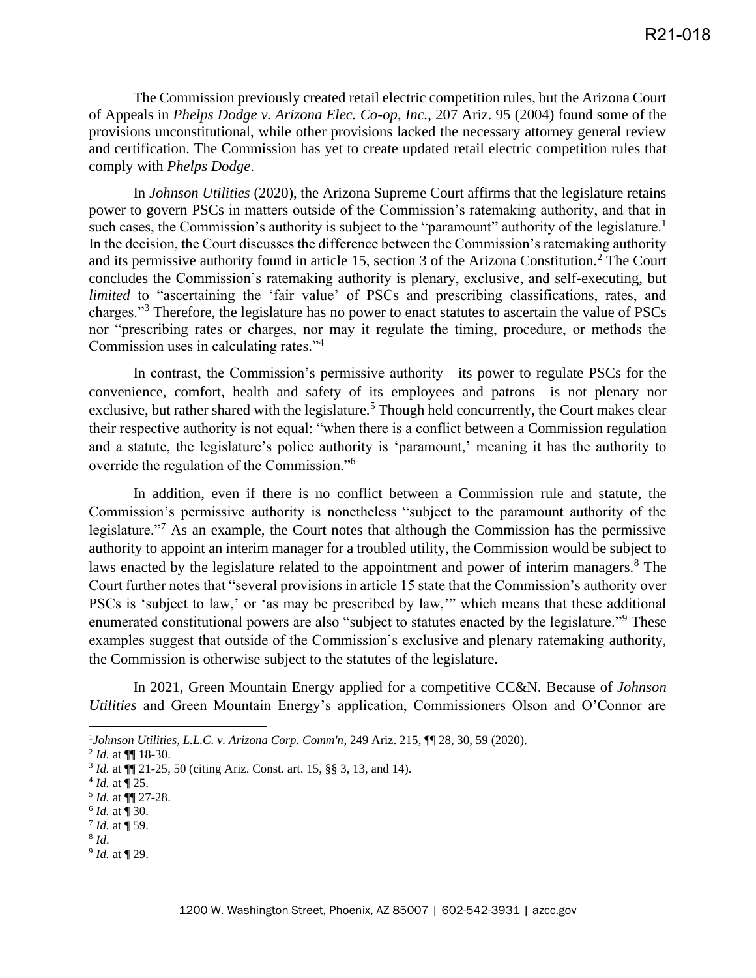The Commission previously created retail electric competition rules, but the Arizona Court of Appeals in *Phelps Dodge v. Arizona Elec. Co-op, Inc.*, 207 Ariz. 95 (2004) found some of the provisions unconstitutional, while other provisions lacked the necessary attorney general review and certification. The Commission has yet to create updated retail electric competition rules that comply with *Phelps Dodge*.

In *Johnson Utilities* (2020), the Arizona Supreme Court affirms that the legislature retains power to govern PSCs in matters outside of the Commission's ratemaking authority, and that in such cases, the Commission's authority is subject to the "paramount" authority of the legislature.<sup>1</sup> In the decision, the Court discusses the difference between the Commission's ratemaking authority and its permissive authority found in article 15, section 3 of the Arizona Constitution.<sup>2</sup> The Court concludes the Commission's ratemaking authority is plenary, exclusive, and self-executing, but *limited* to "ascertaining the 'fair value' of PSCs and prescribing classifications, rates, and charges."<sup>3</sup> Therefore, the legislature has no power to enact statutes to ascertain the value of PSCs nor "prescribing rates or charges, nor may it regulate the timing, procedure, or methods the Commission uses in calculating rates."<sup>4</sup>

In contrast, the Commission's permissive authority—its power to regulate PSCs for the convenience, comfort, health and safety of its employees and patrons—is not plenary nor exclusive, but rather shared with the legislature.<sup>5</sup> Though held concurrently, the Court makes clear their respective authority is not equal: "when there is a conflict between a Commission regulation and a statute, the legislature's police authority is 'paramount,' meaning it has the authority to override the regulation of the Commission."<sup>6</sup>

In addition, even if there is no conflict between a Commission rule and statute, the Commission's permissive authority is nonetheless "subject to the paramount authority of the legislature."<sup>7</sup> As an example, the Court notes that although the Commission has the permissive authority to appoint an interim manager for a troubled utility, the Commission would be subject to laws enacted by the legislature related to the appointment and power of interim managers.<sup>8</sup> The Court further notes that "several provisions in article 15 state that the Commission's authority over PSCs is 'subject to law,' or 'as may be prescribed by law,'" which means that these additional enumerated constitutional powers are also "subject to statutes enacted by the legislature."<sup>9</sup> These examples suggest that outside of the Commission's exclusive and plenary ratemaking authority, the Commission is otherwise subject to the statutes of the legislature.

In 2021, Green Mountain Energy applied for a competitive CC&N. Because of *Johnson Utilities* and Green Mountain Energy's application, Commissioners Olson and O'Connor are

<sup>1</sup> *Johnson Utilities, L.L.C. v. Arizona Corp. Comm'n*, 249 Ariz. 215, ¶¶ 28, 30, 59 (2020).

<sup>2</sup> *Id.* at ¶¶ 18-30.

<sup>&</sup>lt;sup>3</sup> *Id.* at ¶[ 21-25, 50 (citing Ariz. Const. art. 15, §§ 3, 13, and 14).

 $^{4}$  *Id.* at  $\P$  25.

<sup>5</sup> *Id.* at ¶¶ 27-28.

<sup>6</sup> *Id.* at ¶ 30.

 $^{7}$  *Id.* at  $\P$  59.

<sup>8</sup> *Id*.

<sup>9</sup> *Id.* at ¶ 29.